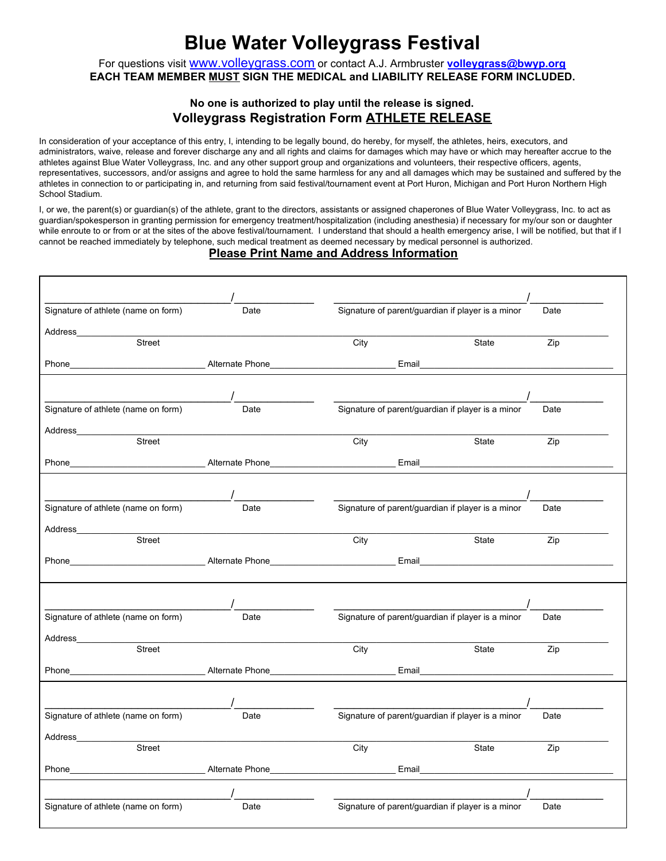## **Blue Water Volleygrass Festival**

For questions visit [www.volleygrass.com](http://www.volleygrass.com/) or contact A.J. Armbruster **[volleygrass@bwyp.org](mailto:volleygrass@bwyp.org) EACH TEAM MEMBER MUST SIGN THE MEDICAL and LIABILITY RELEASE FORM INCLUDED.**

## **No one is authorized to play until the release is signed. Volleygrass Registration Form ATHLETE RELEASE**

In consideration of your acceptance of this entry, I, intending to be legally bound, do hereby, for myself, the athletes, heirs, executors, and administrators, waive, release and forever discharge any and all rights and claims for damages which may have or which may hereafter accrue to the athletes against Blue Water Volleygrass, Inc. and any other support group and organizations and volunteers, their respective officers, agents, representatives, successors, and/or assigns and agree to hold the same harmless for any and all damages which may be sustained and suffered by the athletes in connection to or participating in, and returning from said festival/tournament event at Port Huron, Michigan and Port Huron Northern High School Stadium.

I, or we, the parent(s) or guardian(s) of the athlete, grant to the directors, assistants or assigned chaperones of Blue Water Volleygrass, Inc. to act as guardian/spokesperson in granting permission for emergency treatment/hospitalization (including anesthesia) if necessary for my/our son or daughter while enroute to or from or at the sites of the above festival/tournament. I understand that should a health emergency arise, I will be notified, but that if I cannot be reached immediately by telephone, such medical treatment as deemed necessary by medical personnel is authorized.

## **Please Print Name and Address Information**

| Signature of athlete (name on form)                                                                                                                                                                                                       | Date                                                                                                                     | Signature of parent/guardian if player is a minor<br>Date                            |       |     |  |
|-------------------------------------------------------------------------------------------------------------------------------------------------------------------------------------------------------------------------------------------|--------------------------------------------------------------------------------------------------------------------------|--------------------------------------------------------------------------------------|-------|-----|--|
|                                                                                                                                                                                                                                           |                                                                                                                          |                                                                                      |       |     |  |
| <b>Street</b>                                                                                                                                                                                                                             |                                                                                                                          | City                                                                                 | State | Zip |  |
| Phone Email Email Contract Phone Alternate Phone Email Email Email Contract Phone Email Contract Phone Contract Phone Contract Phone Contract Phone Contract Phone Contract Phone Contract Phone Contract Phone Contract Phone            |                                                                                                                          |                                                                                      |       |     |  |
|                                                                                                                                                                                                                                           |                                                                                                                          |                                                                                      |       |     |  |
|                                                                                                                                                                                                                                           |                                                                                                                          |                                                                                      |       |     |  |
| Signature of athlete (name on form)                                                                                                                                                                                                       | Date                                                                                                                     | Signature of parent/guardian if player is a minor<br>Date                            |       |     |  |
| Address_                                                                                                                                                                                                                                  |                                                                                                                          |                                                                                      |       |     |  |
| Street                                                                                                                                                                                                                                    |                                                                                                                          | City                                                                                 | State | Zip |  |
|                                                                                                                                                                                                                                           |                                                                                                                          | Phone Email Email Contract Phone Alternate Phone Email Email Email Email Email Email |       |     |  |
|                                                                                                                                                                                                                                           |                                                                                                                          |                                                                                      |       |     |  |
| Signature of athlete (name on form)                                                                                                                                                                                                       | Date                                                                                                                     |                                                                                      |       |     |  |
|                                                                                                                                                                                                                                           |                                                                                                                          | Signature of parent/guardian if player is a minor<br>Date                            |       |     |  |
| Street                                                                                                                                                                                                                                    | <u> 1989 - Johann John Stein, markin fan it fjort fan it fjort fan it fjort fan it fjort fan it fjort fan it fjort f</u> | City                                                                                 | State | Zip |  |
|                                                                                                                                                                                                                                           |                                                                                                                          |                                                                                      |       |     |  |
| Phone <b>Example 2018</b> Alternate Phone <b>Contract Contract Contract Contract Contract Contract Contract Contract Contract Contract Contract Contract Contract Contract Contract Contract Contract Contract Contract Contract Cont</b> |                                                                                                                          |                                                                                      |       |     |  |
|                                                                                                                                                                                                                                           |                                                                                                                          |                                                                                      |       |     |  |
|                                                                                                                                                                                                                                           |                                                                                                                          |                                                                                      |       |     |  |
| Signature of athlete (name on form)                                                                                                                                                                                                       | Date                                                                                                                     | Signature of parent/guardian if player is a minor<br>Date                            |       |     |  |
| Address                                                                                                                                                                                                                                   |                                                                                                                          |                                                                                      |       |     |  |
| Street                                                                                                                                                                                                                                    |                                                                                                                          | City                                                                                 | State | Zip |  |
|                                                                                                                                                                                                                                           |                                                                                                                          |                                                                                      |       |     |  |
|                                                                                                                                                                                                                                           |                                                                                                                          |                                                                                      |       |     |  |
|                                                                                                                                                                                                                                           |                                                                                                                          |                                                                                      |       |     |  |
| Signature of athlete (name on form)                                                                                                                                                                                                       | Date                                                                                                                     | Signature of parent/guardian if player is a minor<br>Date                            |       |     |  |
| Address                                                                                                                                                                                                                                   |                                                                                                                          |                                                                                      |       |     |  |
| Street                                                                                                                                                                                                                                    |                                                                                                                          | City                                                                                 | State | Zip |  |
|                                                                                                                                                                                                                                           |                                                                                                                          |                                                                                      |       |     |  |
|                                                                                                                                                                                                                                           |                                                                                                                          |                                                                                      |       |     |  |
|                                                                                                                                                                                                                                           |                                                                                                                          |                                                                                      |       |     |  |